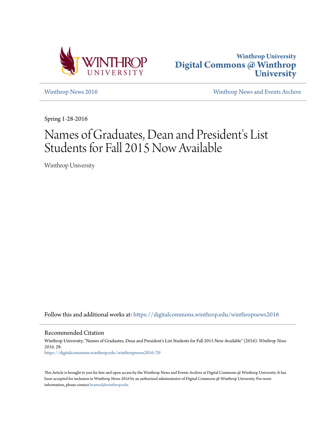



[Winthrop News 2016](https://digitalcommons.winthrop.edu/winthropnews2016?utm_source=digitalcommons.winthrop.edu%2Fwinthropnews2016%2F29&utm_medium=PDF&utm_campaign=PDFCoverPages) [Winthrop News and Events Archive](https://digitalcommons.winthrop.edu/winthropnewsarchives?utm_source=digitalcommons.winthrop.edu%2Fwinthropnews2016%2F29&utm_medium=PDF&utm_campaign=PDFCoverPages)

Spring 1-28-2016

## Names of Graduates, Dean and President's List Students for Fall 2015 Now Available

Winthrop University

Follow this and additional works at: [https://digitalcommons.winthrop.edu/winthropnews2016](https://digitalcommons.winthrop.edu/winthropnews2016?utm_source=digitalcommons.winthrop.edu%2Fwinthropnews2016%2F29&utm_medium=PDF&utm_campaign=PDFCoverPages)

Recommended Citation

Winthrop University, "Names of Graduates, Dean and President's List Students for Fall 2015 Now Available" (2016). *Winthrop News 2016*. 29. [https://digitalcommons.winthrop.edu/winthropnews2016/29](https://digitalcommons.winthrop.edu/winthropnews2016/29?utm_source=digitalcommons.winthrop.edu%2Fwinthropnews2016%2F29&utm_medium=PDF&utm_campaign=PDFCoverPages)

This Article is brought to you for free and open access by the Winthrop News and Events Archive at Digital Commons @ Winthrop University. It has been accepted for inclusion in Winthrop News 2016 by an authorized administrator of Digital Commons @ Winthrop University. For more information, please contact [bramed@winthrop.edu](mailto:bramed@winthrop.edu).